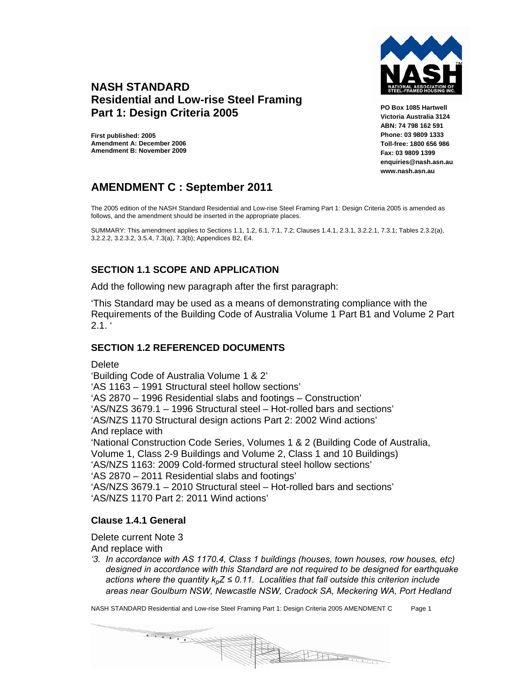

## **NASH STANDARD Residential and Low-rise Steel Framing Part 1: Design Criteria 2005**

**First published: 2005 Amendment A: December 2006 Amendment B: November 2009**  **PO Box 1085 Hartwell Victoria Australia 3124 ABN: 74 798 162 591 Phone: 03 9809 1333 Toll-free: 1800 656 986 Fax: 03 9809 1399 enquiries@nash.asn.au www.nash.asn.au** 

# **AMENDMENT C : September 2011**

The 2005 edition of the NASH Standard Residential and Low-rise Steel Framing Part 1: Design Criteria 2005 is amended as follows, and the amendment should be inserted in the appropriate places.

SUMMARY: This amendment applies to Sections 1.1, 1.2, 6.1, 7.1, 7.2; Clauses 1.4.1, 2.3.1, 3.2.2.1, 7.3.1; Tables 2.3.2(a), 3.2.2.2, 3.2.3.2, 3.5.4, 7.3(a), 7.3(b); Appendices B2, E4.

## **SECTION 1.1 SCOPE AND APPLICATION**

Add the following new paragraph after the first paragraph:

'This Standard may be used as a means of demonstrating compliance with the Requirements of the Building Code of Australia Volume 1 Part B1 and Volume 2 Part  $2.1.$ 

## **SECTION 1.2 REFERENCED DOCUMENTS**

**Delete** 

'Building Code of Australia Volume 1 & 2' 'AS 1163 – 1991 Structural steel hollow sections' 'AS 2870 – 1996 Residential slabs and footings – Construction' 'AS/NZS 3679.1 – 1996 Structural steel – Hot-rolled bars and sections' 'AS/NZS 1170 Structural design actions Part 2: 2002 Wind actions' And replace with 'National Construction Code Series, Volumes 1 & 2 (Building Code of Australia, Volume 1, Class 2-9 Buildings and Volume 2, Class 1 and 10 Buildings) 'AS/NZS 1163: 2009 Cold-formed structural steel hollow sections' 'AS 2870 – 2011 Residential slabs and footings' 'AS/NZS 3679.1 – 2010 Structural steel – Hot-rolled bars and sections' 'AS/NZS 1170 Part 2: 2011 Wind actions'

## **Clause 1.4.1 General**

### Delete current Note 3

And replace with

*'3. In accordance with AS 1170.4, Class 1 buildings (houses, town houses, row houses, etc) designed in accordance with this Standard are not required to be designed for earthquake actions where the quantity kpZ ≤ 0.11. Localities that fall outside this criterion include areas near Goulburn NSW, Newcastle NSW, Cradock SA, Meckering WA, Port Hedland* 

NASH STANDARD Residential and Low-rise Steel Framing Part 1: Design Criteria 2005 AMENDMENT C Page 1

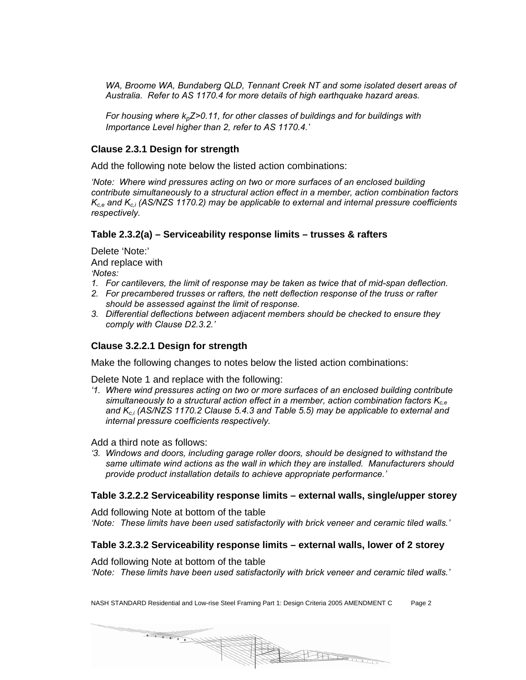WA, Broome WA, Bundaberg QLD, Tennant Creek NT and some isolated desert areas of *Australia. Refer to AS 1170.4 for more details of high earthquake hazard areas.* 

*For housing where k<sub>p</sub>Z>0.11, for other classes of buildings and for buildings with Importance Level higher than 2, refer to AS 1170.4.'* 

### **Clause 2.3.1 Design for strength**

Add the following note below the listed action combinations:

*'Note: Where wind pressures acting on two or more surfaces of an enclosed building contribute simultaneously to a structural action effect in a member, action combination factors Kc,e and Kc,i (AS/NZS 1170.2) may be applicable to external and internal pressure coefficients respectively.* 

#### **Table 2.3.2(a) – Serviceability response limits – trusses & rafters**

Delete 'Note:' And replace with

*'Notes:* 

- *1. For cantilevers, the limit of response may be taken as twice that of mid-span deflection.*
- *2. For precambered trusses or rafters, the nett deflection response of the truss or rafter should be assessed against the limit of response.*
- *3. Differential deflections between adjacent members should be checked to ensure they comply with Clause D2.3.2.'*

### **Clause 3.2.2.1 Design for strength**

Make the following changes to notes below the listed action combinations:

Delete Note 1 and replace with the following:

*'1. Where wind pressures acting on two or more surfaces of an enclosed building contribute simultaneously to a structural action effect in a member, action combination factors Kc,e* and K<sub>c,i</sub> (AS/NZS 1170.2 Clause 5.4.3 and Table 5.5) may be applicable to external and *internal pressure coefficients respectively.* 

Add a third note as follows:

*'3. Windows and doors, including garage roller doors, should be designed to withstand the same ultimate wind actions as the wall in which they are installed. Manufacturers should provide product installation details to achieve appropriate performance.'* 

#### **Table 3.2.2.2 Serviceability response limits – external walls, single/upper storey**

Add following Note at bottom of the table *'Note: These limits have been used satisfactorily with brick veneer and ceramic tiled walls.'* 

#### **Table 3.2.3.2 Serviceability response limits – external walls, lower of 2 storey**

Add following Note at bottom of the table

*'Note: These limits have been used satisfactorily with brick veneer and ceramic tiled walls.'* 

NASH STANDARD Residential and Low-rise Steel Framing Part 1: Design Criteria 2005 AMENDMENT C Page 2

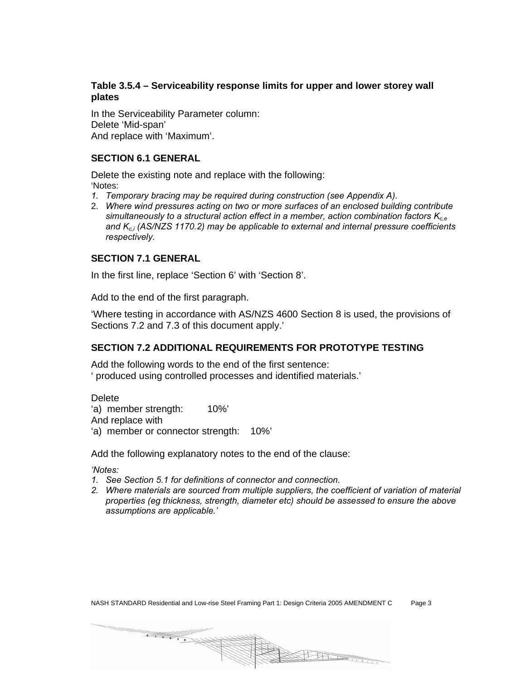### **Table 3.5.4 – Serviceability response limits for upper and lower storey wall plates**

In the Serviceability Parameter column: Delete 'Mid-span' And replace with 'Maximum'.

### **SECTION 6.1 GENERAL**

Delete the existing note and replace with the following: 'Notes:

- *1. Temporary bracing may be required during construction (see Appendix A).*
- 2. *Where wind pressures acting on two or more surfaces of an enclosed building contribute simultaneously to a structural action effect in a member, action combination factors Kc,e* and K<sub>c,i</sub> (AS/NZS 1170.2) may be applicable to external and internal pressure coefficients *respectively.*

## **SECTION 7.1 GENERAL**

In the first line, replace 'Section 6' with 'Section 8'.

Add to the end of the first paragraph.

'Where testing in accordance with AS/NZS 4600 Section 8 is used, the provisions of Sections 7.2 and 7.3 of this document apply.'

## **SECTION 7.2 ADDITIONAL REQUIREMENTS FOR PROTOTYPE TESTING**

Add the following words to the end of the first sentence: ' produced using controlled processes and identified materials.'

**Delete** 'a) member strength: 10%' And replace with 'a) member or connector strength: 10%'

Add the following explanatory notes to the end of the clause:

*'Notes:* 

- *1. See Section 5.1 for definitions of connector and connection.*
- *2. Where materials are sourced from multiple suppliers, the coefficient of variation of material properties (eg thickness, strength, diameter etc) should be assessed to ensure the above assumptions are applicable.'*

NASH STANDARD Residential and Low-rise Steel Framing Part 1: Design Criteria 2005 AMENDMENT C Page 3

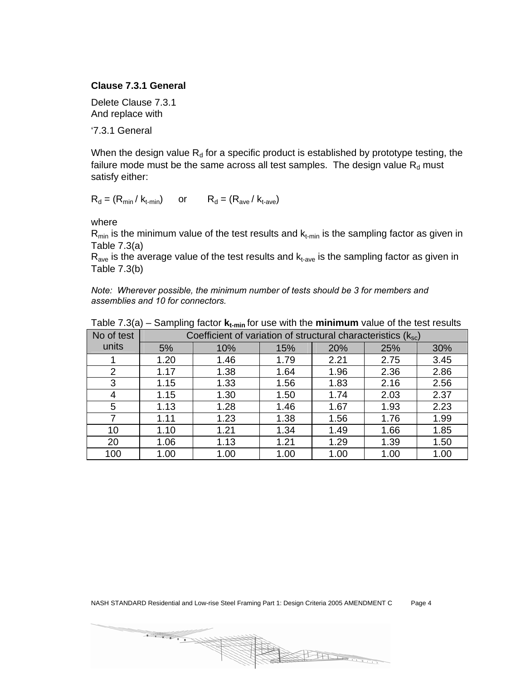#### **Clause 7.3.1 General**

Delete Clause 7.3.1 And replace with

'7.3.1 General

When the design value  $R_d$  for a specific product is established by prototype testing, the failure mode must be the same across all test samples. The design value  $R_d$  must satisfy either:

 $R_d = (R_{min} / k_{t-min})$  or  $R_d = (R_{ave} / k_{t-ave})$ 

where

 $R_{min}$  is the minimum value of the test results and  $k_{t-min}$  is the sampling factor as given in Table 7.3(a)

 $R_{\text{ave}}$  is the average value of the test results and  $k_{\text{t-ave}}$  is the sampling factor as given in Table 7.3(b)

*Note: Wherever possible, the minimum number of tests should be 3 for members and assemblies and 10 for connectors.* 

| No of test | Coefficient of variation of structural characteristics (ksc) |      |      |      |      |      |
|------------|--------------------------------------------------------------|------|------|------|------|------|
| units      | 5%                                                           | 10%  | 15%  | 20%  | 25%  | 30%  |
|            | 1.20                                                         | 1.46 | 1.79 | 2.21 | 2.75 | 3.45 |
| 2          | 1.17                                                         | 1.38 | 1.64 | 1.96 | 2.36 | 2.86 |
| 3          | 1.15                                                         | 1.33 | 1.56 | 1.83 | 2.16 | 2.56 |
| 4          | 1.15                                                         | 1.30 | 1.50 | 1.74 | 2.03 | 2.37 |
| 5          | 1.13                                                         | 1.28 | 1.46 | 1.67 | 1.93 | 2.23 |
|            | 1.11                                                         | 1.23 | 1.38 | 1.56 | 1.76 | 1.99 |
| 10         | 1.10                                                         | 1.21 | 1.34 | 1.49 | 1.66 | 1.85 |
| 20         | 1.06                                                         | 1.13 | 1.21 | 1.29 | 1.39 | 1.50 |
| 100        | 1.00                                                         | 1.00 | 1.00 | 1.00 | 1.00 | 1.00 |

|  |  |  |  | Table 7.3(a) – Sampling factor $\mathbf{k}_{t-min}$ for use with the minimum value of the test results |
|--|--|--|--|--------------------------------------------------------------------------------------------------------|
|--|--|--|--|--------------------------------------------------------------------------------------------------------|

BH